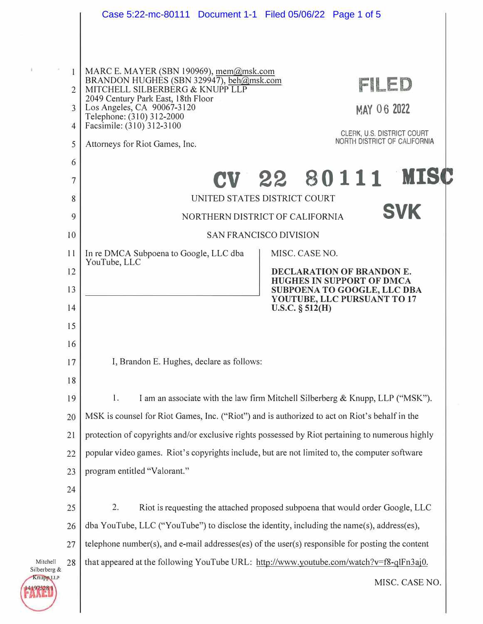|                          |                                                                                               | Case 5:22-mc-80111 Document 1-1 Filed 05/06/22 Page 1 of 5                                                                |  |  |  |  |
|--------------------------|-----------------------------------------------------------------------------------------------|---------------------------------------------------------------------------------------------------------------------------|--|--|--|--|
|                          |                                                                                               |                                                                                                                           |  |  |  |  |
|                          |                                                                                               |                                                                                                                           |  |  |  |  |
|                          | 1                                                                                             | MARC E. MAYER (SBN 190969), mem@msk.com<br>BRANDON HUGHES (SBN 329947), beh@msk.com<br>FILED                              |  |  |  |  |
|                          | $\overline{2}$                                                                                | MITCHELL SILBERBÈRG & KNUPP LLP<br>2049 Century Park East, 18th Floor                                                     |  |  |  |  |
|                          | $\overline{3}$                                                                                | Los Angeles, CA 90067-3120<br><b>MAY 06 2022</b><br>Telephone: (310) 312-2000                                             |  |  |  |  |
|                          | $\overline{4}$<br>5                                                                           | Facsimile: (310) 312-3100<br>CLERK, U.S. DISTRICT COURT<br>NORTH DISTRICT OF CALIFORNIA<br>Attorneys for Riot Games, Inc. |  |  |  |  |
|                          | 6                                                                                             |                                                                                                                           |  |  |  |  |
|                          | 7                                                                                             | CV 22 80111 MISC                                                                                                          |  |  |  |  |
|                          | 8                                                                                             | UNITED STATES DISTRICT COURT                                                                                              |  |  |  |  |
|                          | 9                                                                                             | <b>SVK</b><br>NORTHERN DISTRICT OF CALIFORNIA                                                                             |  |  |  |  |
|                          | 10                                                                                            | <b>SAN FRANCISCO DIVISION</b>                                                                                             |  |  |  |  |
|                          | 11                                                                                            | In re DMCA Subpoena to Google, LLC dba<br>MISC. CASE NO.<br>YouTube, LLC                                                  |  |  |  |  |
|                          | 12                                                                                            | DECLARATION OF BRANDON E.<br><b>HUGHES IN SUPPORT OF DMCA</b>                                                             |  |  |  |  |
|                          | 13                                                                                            | SUBPOENA TO GOOGLE, LLC DBA<br>YOUTUBE, LLC PURSUANT TO 17                                                                |  |  |  |  |
|                          | 14                                                                                            | $U.S.C. \S 512(H)$                                                                                                        |  |  |  |  |
|                          | 15                                                                                            |                                                                                                                           |  |  |  |  |
|                          | 16                                                                                            |                                                                                                                           |  |  |  |  |
|                          | 17                                                                                            | I, Brandon E. Hughes, declare as follows:                                                                                 |  |  |  |  |
|                          | 18<br>19                                                                                      | I am an associate with the law firm Mitchell Silberberg & Knupp, LLP ("MSK").<br>1.                                       |  |  |  |  |
|                          | 20                                                                                            | MSK is counsel for Riot Games, Inc. ("Riot") and is authorized to act on Riot's behalf in the                             |  |  |  |  |
|                          | 21                                                                                            | protection of copyrights and/or exclusive rights possessed by Riot pertaining to numerous highly                          |  |  |  |  |
|                          | popular video games. Riot's copyrights include, but are not limited to, the computer software |                                                                                                                           |  |  |  |  |
|                          | 22<br>23                                                                                      | program entitled "Valorant."                                                                                              |  |  |  |  |
|                          | 24                                                                                            |                                                                                                                           |  |  |  |  |
|                          | 25                                                                                            | 2.<br>Riot is requesting the attached proposed subpoena that would order Google, LLC                                      |  |  |  |  |
|                          | 26                                                                                            | dba YouTube, LLC ("YouTube") to disclose the identity, including the name(s), address(es),                                |  |  |  |  |
|                          | 27                                                                                            | telephone number(s), and e-mail addresses(es) of the user(s) responsible for posting the content                          |  |  |  |  |
| Mitchell<br>Silberberg & | 28                                                                                            | that appeared at the following YouTube URL: http://www.youtube.com/watch?v=f8-qlFn3aj0.                                   |  |  |  |  |
| Knupp LLP                |                                                                                               | MISC. CASE NO.                                                                                                            |  |  |  |  |
|                          |                                                                                               |                                                                                                                           |  |  |  |  |

 $\hat{y}$ 

**FAXE**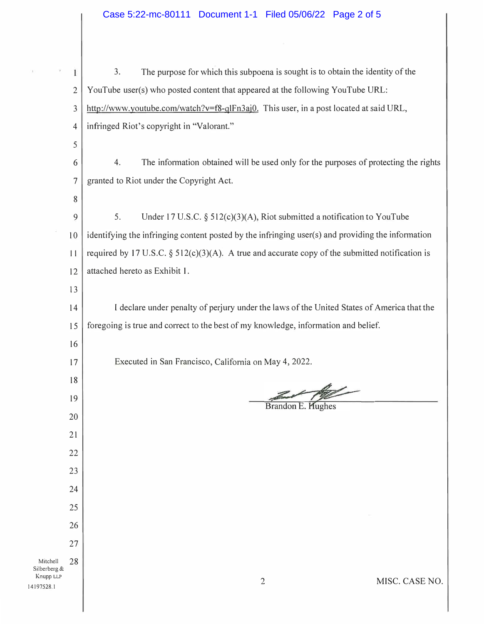| Case 5:22-mc-80111 Document 1-1 Filed 05/06/22 Page 2 of 5 |  |  |  |
|------------------------------------------------------------|--|--|--|
|------------------------------------------------------------|--|--|--|

|                                        | 1              | 3.<br>The purpose for which this subpoena is sought is to obtain the identity of the               |
|----------------------------------------|----------------|----------------------------------------------------------------------------------------------------|
|                                        | $\overline{2}$ | YouTube user(s) who posted content that appeared at the following YouTube URL:                     |
|                                        | 3              | http://www.youtube.com/watch?v=f8-qlFn3aj0. This user, in a post located at said URL,              |
|                                        | 4              | infringed Riot's copyright in "Valorant."                                                          |
|                                        | 5              |                                                                                                    |
|                                        | 6              | The information obtained will be used only for the purposes of protecting the rights<br>4.         |
|                                        | $\overline{7}$ | granted to Riot under the Copyright Act.                                                           |
|                                        | 8              |                                                                                                    |
|                                        | 9              | 5.<br>Under 17 U.S.C. $\S$ 512(c)(3)(A), Riot submitted a notification to YouTube                  |
|                                        | 10             | identifying the infringing content posted by the infringing user(s) and providing the information  |
|                                        | 11             | required by 17 U.S.C. $\S$ 512(c)(3)(A). A true and accurate copy of the submitted notification is |
|                                        | 12             | attached hereto as Exhibit 1.                                                                      |
|                                        | 13             |                                                                                                    |
|                                        | 14             | I declare under penalty of perjury under the laws of the United States of America that the         |
|                                        | 15             | foregoing is true and correct to the best of my knowledge, information and belief.                 |
|                                        | 16             |                                                                                                    |
|                                        | 17             | Executed in San Francisco, California on May 4, 2022.                                              |
|                                        | 18             |                                                                                                    |
|                                        | 19             | Brandon E. Hughes                                                                                  |
|                                        | 20             |                                                                                                    |
|                                        | 21             |                                                                                                    |
|                                        | 22             |                                                                                                    |
|                                        | 23             |                                                                                                    |
|                                        | 24             |                                                                                                    |
|                                        | 25             |                                                                                                    |
|                                        | 26<br>27       |                                                                                                    |
| Mitchell                               | 28             |                                                                                                    |
| Silberberg &<br>Knupp LLP<br>4197528.1 |                | MISC. CASE NO.<br>$\overline{2}$                                                                   |

14197528.1

ù.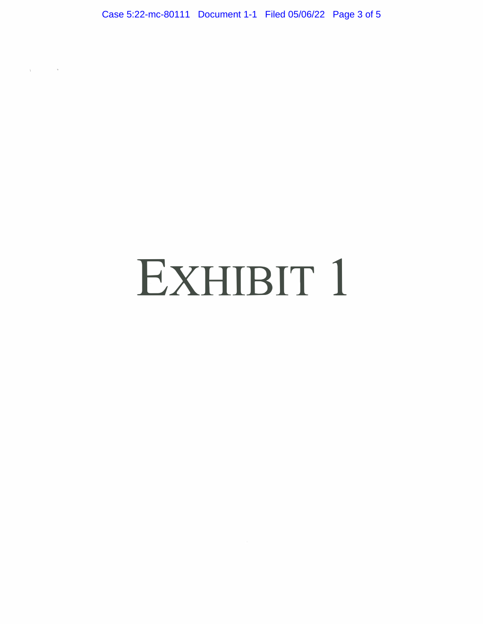Case 5:22-mc-80111 Document 1-1 Filed 05/06/22 Page 3 of 5

 $\sqrt{2}$ 

## EXHIBIT 1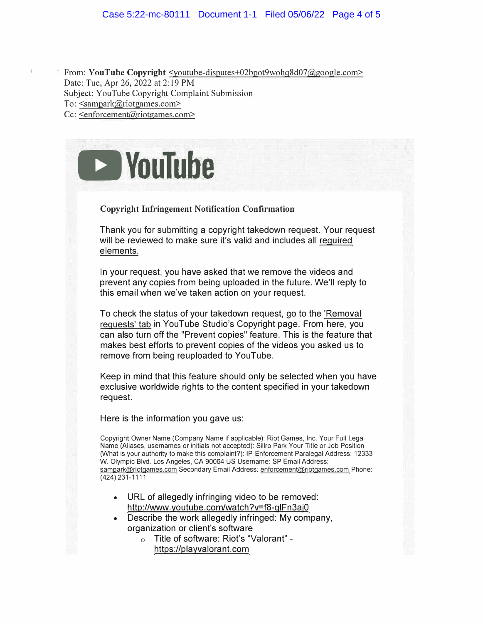From: **YouTube Copyright**  $\leq$ youtube-disputes+02bpot9wohg8d07@google.com> Date: Tue, Apr 26, 2022 at 2: 19 PM Subject: Y ouTube Copyright Complaint Submission To: <sampark@riotgames.com> Cc: <enforcement@riotgames.com>

**DVouTube** 

## **Copyright Infringement Notification Confirmation**

Thank you for submitting a copyright takedown request. Your request will be reviewed to make sure it's valid and includes all required elements.

In your request, you have asked that we remove the videos and prevent any copies from being uploaded in the future. We'll reply to this email when we've taken action on your request.

To check the status of your takedown request, go to the 'Removal requests' tab in YouTube Studio's Copyright page. From here, you can also turn off the "Prevent copies" feature. This is the feature that makes best efforts to prevent copies of the videos you asked us to remove from being reuploaded to YouTube.

Keep in mind that this feature should only be selected when you have exclusive worldwide rights to the content specified in your takedown request.

Here is the information you gave us:

Copyright Owner Name (Company Name if applicable): Riot Games, Inc. Your Full Legal Name (Aliases, usernames or initials not accepted): Sillro Park Your Title or Job Position (What is your authority to make this complaint?): IP Enforcement Paralegal Address: 12333 W. Olympic Blvd. Los Angeles, CA 90064 US Username: SP Email Address: sampark@riotgames.com Secondary Email Address: enforcement@riotgames.com Phone: (424) 231-1111

- URL of allegedly infringing video to be removed: http://www.youtube.com/watch?v=f8-q1Fn3aj0
- Describe the work allegedly infringed: My company, organization or client's software
	- o Title of software: Riot's "Valorant" https://playvalorant.com